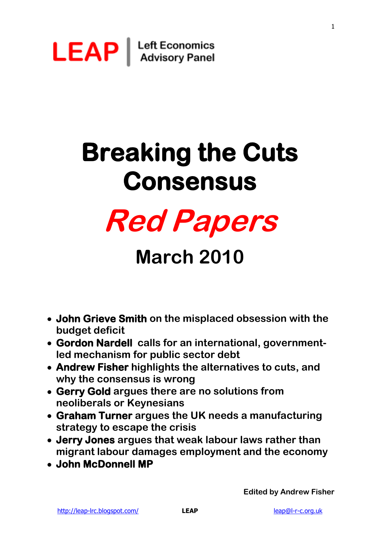

# **Breaking the Cuts Consensus**



# **March 2010**

- **John Grieve Smith on the misplaced obsession with the budget deficit**
- **Gordon Nardell calls for an international, governmentled mechanism for public sector debt**
- **Andrew Fisher highlights the alternatives to cuts, and why the consensus is wrong**
- **Gerry Gold argues there are no solutions from neoliberals or Keynesians**
- **Graham Turner argues the UK needs a manufacturing strategy to escape the crisis**
- **Jerry Jones argues that weak labour laws rather than migrant labour damages employment and the economy**
- **John McDonnell MP**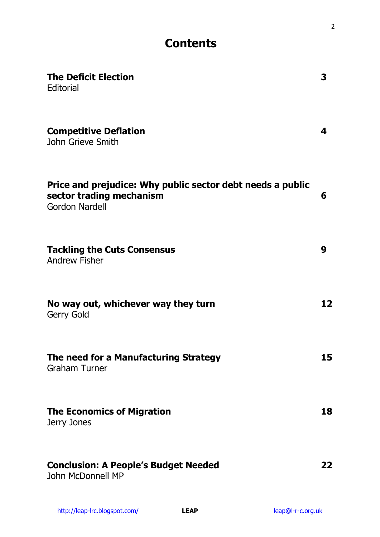# **Contents**

| <b>The Deficit Election</b><br>Editorial                                                                        | 3  |
|-----------------------------------------------------------------------------------------------------------------|----|
| <b>Competitive Deflation</b><br><b>John Grieve Smith</b>                                                        | 4  |
| Price and prejudice: Why public sector debt needs a public<br>sector trading mechanism<br><b>Gordon Nardell</b> | 6  |
| <b>Tackling the Cuts Consensus</b><br><b>Andrew Fisher</b>                                                      | 9  |
| No way out, whichever way they turn<br><b>Gerry Gold</b>                                                        | 12 |
| The need for a Manufacturing Strategy<br><b>Graham Turner</b>                                                   | 15 |
| <b>The Economics of Migration</b><br>Jerry Jones                                                                | 18 |
| <b>Conclusion: A People's Budget Needed</b><br>John McDonnell MP                                                | 22 |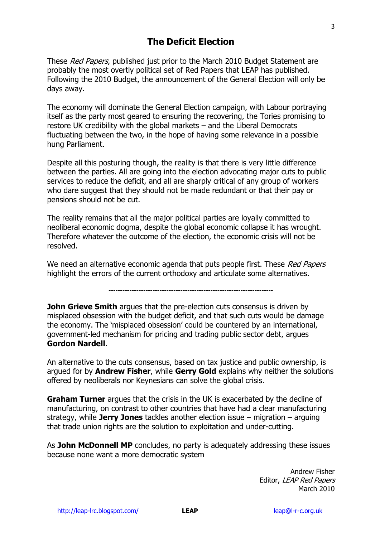# **The Deficit Election**

These Red Papers, published just prior to the March 2010 Budget Statement are probably the most overtly political set of Red Papers that LEAP has published. Following the 2010 Budget, the announcement of the General Election will only be days away.

The economy will dominate the General Election campaign, with Labour portraying itself as the party most geared to ensuring the recovering, the Tories promising to restore UK credibility with the global markets – and the Liberal Democrats fluctuating between the two, in the hope of having some relevance in a possible hung Parliament.

Despite all this posturing though, the reality is that there is very little difference between the parties. All are going into the election advocating major cuts to public services to reduce the deficit, and all are sharply critical of any group of workers who dare suggest that they should not be made redundant or that their pay or pensions should not be cut.

The reality remains that all the major political parties are loyally committed to neoliberal economic dogma, despite the global economic collapse it has wrought. Therefore whatever the outcome of the election, the economic crisis will not be resolved.

We need an alternative economic agenda that puts people first. These Red Papers highlight the errors of the current orthodoxy and articulate some alternatives.

-----------------------------------------------------------------------

**John Grieve Smith** argues that the pre-election cuts consensus is driven by misplaced obsession with the budget deficit, and that such cuts would be damage the economy. The "misplaced obsession" could be countered by an international, government-led mechanism for pricing and trading public sector debt, argues **Gordon Nardell**.

An alternative to the cuts consensus, based on tax justice and public ownership, is argued for by **Andrew Fisher**, while **Gerry Gold** explains why neither the solutions offered by neoliberals nor Keynesians can solve the global crisis.

**Graham Turner** argues that the crisis in the UK is exacerbated by the decline of manufacturing, on contrast to other countries that have had a clear manufacturing strategy, while **Jerry Jones** tackles another election issue – migration – arguing that trade union rights are the solution to exploitation and under-cutting.

As **John McDonnell MP** concludes, no party is adequately addressing these issues because none want a more democratic system

> Andrew Fisher Editor, LEAP Red Papers March 2010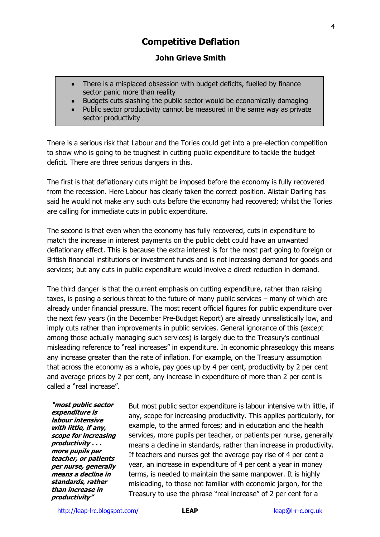# **Competitive Deflation**

### **John Grieve Smith**

- There is a misplaced obsession with budget deficits, fuelled by finance sector panic more than reality
- Budgets cuts slashing the public sector would be economically damaging
- Public sector productivity cannot be measured in the same way as private sector productivity

There is a serious risk that Labour and the Tories could get into a pre-election competition to show who is going to be toughest in cutting public expenditure to tackle the budget deficit. There are three serious dangers in this.

The first is that deflationary cuts might be imposed before the economy is fully recovered from the recession. Here Labour has clearly taken the correct position. Alistair Darling has said he would not make any such cuts before the economy had recovered; whilst the Tories are calling for immediate cuts in public expenditure.

The second is that even when the economy has fully recovered, cuts in expenditure to match the increase in interest payments on the public debt could have an unwanted deflationary effect. This is because the extra interest is for the most part going to foreign or British financial institutions or investment funds and is not increasing demand for goods and services; but any cuts in public expenditure would involve a direct reduction in demand.

The third danger is that the current emphasis on cutting expenditure, rather than raising taxes, is posing a serious threat to the future of many public services – many of which are already under financial pressure. The most recent official figures for public expenditure over the next few years (in the December Pre-Budget Report) are already unrealistically low, and imply cuts rather than improvements in public services. General ignorance of this (except among those actually managing such services) is largely due to the Treasury"s continual misleading reference to "real increases" in expenditure. In economic phraseology this means any increase greater than the rate of inflation. For example, on the Treasury assumption that across the economy as a whole, pay goes up by 4 per cent, productivity by 2 per cent and average prices by 2 per cent, any increase in expenditure of more than 2 per cent is called a "real increase".

**"most public sector expenditure is labour intensive with little, if any, scope for increasing productivity . . . more pupils per teacher, or patients per nurse, generally means a decline in standards, rather than increase in productivity"**

But most public sector expenditure is labour intensive with little, if any, scope for increasing productivity. This applies particularly, for example, to the armed forces; and in education and the health services, more pupils per teacher, or patients per nurse, generally means a decline in standards, rather than increase in productivity. If teachers and nurses get the average pay rise of 4 per cent a year, an increase in expenditure of 4 per cent a year in money terms, is needed to maintain the same manpower. It is highly misleading, to those not familiar with economic jargon, for the Treasury to use the phrase "real increase" of 2 per cent for a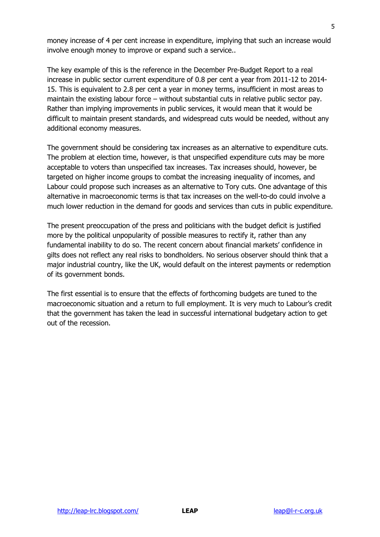money increase of 4 per cent increase in expenditure, implying that such an increase would involve enough money to improve or expand such a service..

The key example of this is the reference in the December Pre-Budget Report to a real increase in public sector current expenditure of 0.8 per cent a year from 2011-12 to 2014- 15. This is equivalent to 2.8 per cent a year in money terms, insufficient in most areas to maintain the existing labour force – without substantial cuts in relative public sector pay. Rather than implying improvements in public services, it would mean that it would be difficult to maintain present standards, and widespread cuts would be needed, without any additional economy measures.

The government should be considering tax increases as an alternative to expenditure cuts. The problem at election time, however, is that unspecified expenditure cuts may be more acceptable to voters than unspecified tax increases. Tax increases should, however, be targeted on higher income groups to combat the increasing inequality of incomes, and Labour could propose such increases as an alternative to Tory cuts. One advantage of this alternative in macroeconomic terms is that tax increases on the well-to-do could involve a much lower reduction in the demand for goods and services than cuts in public expenditure.

The present preoccupation of the press and politicians with the budget deficit is justified more by the political unpopularity of possible measures to rectify it, rather than any fundamental inability to do so. The recent concern about financial markets' confidence in gilts does not reflect any real risks to bondholders. No serious observer should think that a major industrial country, like the UK, would default on the interest payments or redemption of its government bonds.

The first essential is to ensure that the effects of forthcoming budgets are tuned to the macroeconomic situation and a return to full employment. It is very much to Labour"s credit that the government has taken the lead in successful international budgetary action to get out of the recession.

5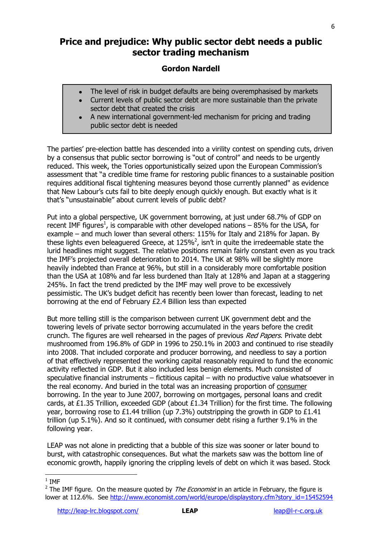# **Price and prejudice: Why public sector debt needs a public sector trading mechanism**

# **Gordon Nardell**

- The level of risk in budget defaults are being overemphasised by markets  $\bullet$
- Current levels of public sector debt are more sustainable than the private sector debt that created the crisis
- A new international government-led mechanism for pricing and trading public sector debt is needed

The parties' pre-election battle has descended into a virility contest on spending cuts, driven by a consensus that public sector borrowing is "out of control" and needs to be urgently reduced. This week, the Tories opportunistically seized upon the European Commission"s assessment that "a credible time frame for restoring public finances to a sustainable position requires additional fiscal tightening measures beyond those currently planned" as evidence that New Labour"s cuts fail to bite deeply enough quickly enough. But exactly what is it that's "unsustainable" about current levels of public debt?

Put into a global perspective, UK government borrowing, at just under 68.7% of GDP on recent IMF figures<sup>1</sup>, is comparable with other developed nations  $-$  85% for the USA, for example – and much lower than several others: 115% for Italy and 218% for Japan. By these lights even beleaguered Greece, at 125%<sup>2</sup>, isn't in quite the irredeemable state the lurid headlines might suggest. The relative positions remain fairly constant even as you track the IMF"s projected overall deterioration to 2014. The UK at 98% will be slightly more heavily indebted than France at 96%, but still in a considerably more comfortable position than the USA at 108% and far less burdened than Italy at 128% and Japan at a staggering 245%. In fact the trend predicted by the IMF may well prove to be excessively pessimistic. The UK"s budget deficit has recently been lower than forecast, leading to net borrowing at the end of February £2.4 Billion less than expected

But more telling still is the comparison between current UK government debt and the towering levels of private sector borrowing accumulated in the years before the credit crunch. The figures are well rehearsed in the pages of previous Red Papers. Private debt mushroomed from 196.8% of GDP in 1996 to 250.1% in 2003 and continued to rise steadily into 2008. That included corporate and producer borrowing, and needless to say a portion of that effectively represented the working capital reasonably required to fund the economic activity reflected in GDP. But it also included less benign elements. Much consisted of speculative financial instruments – fictitious capital – with no productive value whatsoever in the real economy. And buried in the total was an increasing proportion of consumer borrowing. In the year to June 2007, borrowing on mortgages, personal loans and credit cards, at £1.35 Trillion, exceeded GDP (about £1.34 Trillion) for the first time. The following year, borrowing rose to £1.44 trillion (up 7.3%) outstripping the growth in GDP to £1.41 trillion (up 5.1%). And so it continued, with consumer debt rising a further 9.1% in the following year.

LEAP was not alone in predicting that a bubble of this size was sooner or later bound to burst, with catastrophic consequences. But what the markets saw was the bottom line of economic growth, happily ignoring the crippling levels of debt on which it was based. Stock

 $\frac{1}{1}$  IMF

<sup>&</sup>lt;sup>2</sup> The IMF figure. On the measure quoted by *The Economist* in an article in February, the figure is lower at 112.6%. See [http://www.economist.com/world/europe/displaystory.cfm?story\\_id=15452594](http://www.economist.com/world/europe/displaystory.cfm?story_id=15452594)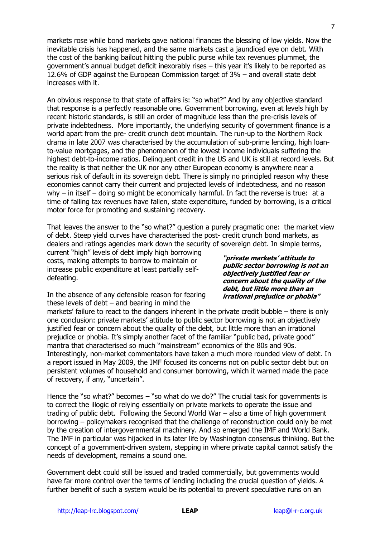markets rose while bond markets gave national finances the blessing of low yields. Now the inevitable crisis has happened, and the same markets cast a jaundiced eye on debt. With the cost of the banking bailout hitting the public purse while tax revenues plummet, the government"s annual budget deficit inexorably rises – this year it"s likely to be reported as 12.6% of GDP against the European Commission target of 3% – and overall state debt increases with it.

An obvious response to that state of affairs is: "so what?" And by any objective standard that response is a perfectly reasonable one. Government borrowing, even at levels high by recent historic standards, is still an order of magnitude less than the pre-crisis levels of private indebtedness. More importantly, the underlying security of government finance is a world apart from the pre- credit crunch debt mountain. The run-up to the Northern Rock drama in late 2007 was characterised by the accumulation of sub-prime lending, high loanto-value mortgages, and the phenomenon of the lowest income individuals suffering the highest debt-to-income ratios. Delinquent credit in the US and UK is still at record levels. But the reality is that neither the UK nor any other European economy is anywhere near a serious risk of default in its sovereign debt. There is simply no principled reason why these economies cannot carry their current and projected levels of indebtedness, and no reason why  $-$  in itself  $-$  doing so might be economically harmful. In fact the reverse is true: at a time of falling tax revenues have fallen, state expenditure, funded by borrowing, is a critical motor force for promoting and sustaining recovery.

That leaves the answer to the "so what?" question a purely pragmatic one: the market view of debt. Steep yield curves have characterised the post- credit crunch bond markets, as dealers and ratings agencies mark down the security of sovereign debt. In simple terms,

current "high" levels of debt imply high borrowing costs, making attempts to borrow to maintain or increase public expenditure at least partially selfdefeating.

In the absence of any defensible reason for fearing these levels of debt  $-$  and bearing in mind the

**"private markets' attitude to public sector borrowing is not an objectively justified fear or concern about the quality of the debt, but little more than an irrational prejudice or phobia"**

markets' failure to react to the dangers inherent in the private credit bubble – there is only one conclusion: private markets" attitude to public sector borrowing is not an objectively justified fear or concern about the quality of the debt, but little more than an irrational prejudice or phobia. It's simply another facet of the familiar "public bad, private good" mantra that characterised so much "mainstream" economics of the 80s and 90s. Interestingly, non-market commentators have taken a much more rounded view of debt. In a report issued in May 2009, the IMF focused its concerns not on public sector debt but on persistent volumes of household and consumer borrowing, which it warned made the pace of recovery, if any, "uncertain".

Hence the "so what?" becomes – "so what do we do?" The crucial task for governments is to correct the illogic of relying essentially on private markets to operate the issue and trading of public debt. Following the Second World War – also a time of high government borrowing – policymakers recognised that the challenge of reconstruction could only be met by the creation of intergovernmental machinery. And so emerged the IMF and World Bank. The IMF in particular was hijacked in its later life by Washington consensus thinking. But the concept of a government-driven system, stepping in where private capital cannot satisfy the needs of development, remains a sound one.

Government debt could still be issued and traded commercially, but governments would have far more control over the terms of lending including the crucial question of yields. A further benefit of such a system would be its potential to prevent speculative runs on an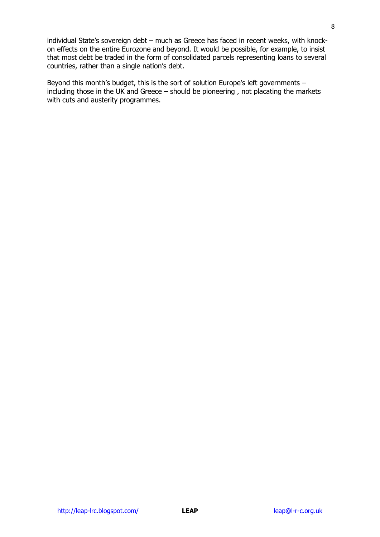individual State's sovereign debt – much as Greece has faced in recent weeks, with knockon effects on the entire Eurozone and beyond. It would be possible, for example, to insist that most debt be traded in the form of consolidated parcels representing loans to several countries, rather than a single nation's debt.

Beyond this month's budget, this is the sort of solution Europe's left governments  $$ including those in the UK and Greece – should be pioneering , not placating the markets with cuts and austerity programmes.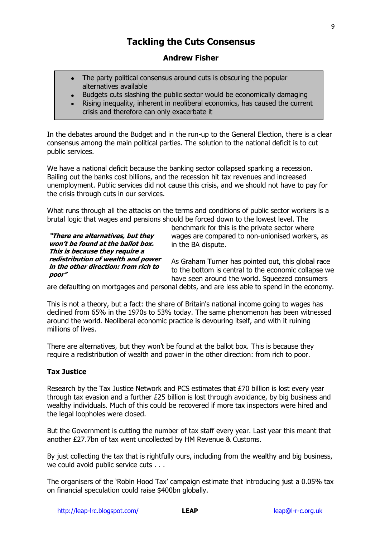# **Tackling the Cuts Consensus**

### **Andrew Fisher**

- The party political consensus around cuts is obscuring the popular alternatives available
- Budgets cuts slashing the public sector would be economically damaging
- Rising inequality, inherent in neoliberal economics, has caused the current crisis and therefore can only exacerbate it

In the debates around the Budget and in the run-up to the General Election, there is a clear consensus among the main political parties. The solution to the national deficit is to cut public services.

We have a national deficit because the banking sector collapsed sparking a recession. Bailing out the banks cost billions, and the recession hit tax revenues and increased unemployment. Public services did not cause this crisis, and we should not have to pay for the crisis through cuts in our services.

What runs through all the attacks on the terms and conditions of public sector workers is a brutal logic that wages and pensions should be forced down to the lowest level. The

**"There are alternatives, but they won't be found at the ballot box. This is because they require a redistribution of wealth and power in the other direction: from rich to poor"**

benchmark for this is the private sector where wages are compared to non-unionised workers, as in the BA dispute.

As Graham Turner has pointed out, this global race to the bottom is central to the economic collapse we have seen around the world. Squeezed consumers

are defaulting on mortgages and personal debts, and are less able to spend in the economy.

This is not a theory, but a fact: the share of Britain's national income going to wages has declined from 65% in the 1970s to 53% today. The same phenomenon has been witnessed around the world. Neoliberal economic practice is devouring itself, and with it ruining millions of lives.

There are alternatives, but they won't be found at the ballot box. This is because they require a redistribution of wealth and power in the other direction: from rich to poor.

#### **Tax Justice**

Research by the Tax Justice Network and PCS estimates that £70 billion is lost every year through tax evasion and a further  $E25$  billion is lost through avoidance, by big business and wealthy individuals. Much of this could be recovered if more tax inspectors were hired and the legal loopholes were closed.

But the Government is cutting the number of tax staff every year. Last year this meant that another £27.7bn of tax went uncollected by HM Revenue & Customs.

By just collecting the tax that is rightfully ours, including from the wealthy and big business, we could avoid public service cuts . . .

The organisers of the "Robin Hood Tax" campaign estimate that introducing just a 0.05% tax on financial speculation could raise \$400bn globally.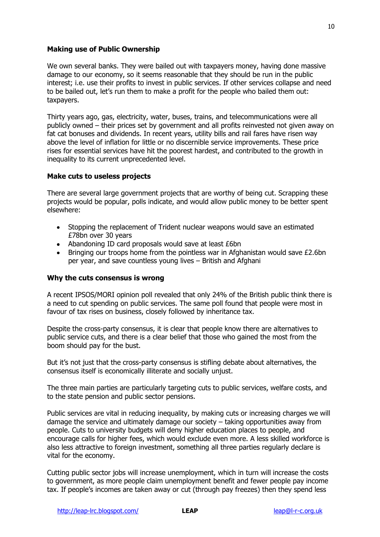#### **Making use of Public Ownership**

We own several banks. They were bailed out with taxpayers money, having done massive damage to our economy, so it seems reasonable that they should be run in the public interest; i.e. use their profits to invest in public services. If other services collapse and need to be bailed out, let's run them to make a profit for the people who bailed them out: taxpayers.

Thirty years ago, gas, electricity, water, buses, trains, and telecommunications were all publicly owned – their prices set by government and all profits reinvested not given away on fat cat bonuses and dividends. In recent years, utility bills and rail fares have risen way above the level of inflation for little or no discernible service improvements. These price rises for essential services have hit the poorest hardest, and contributed to the growth in inequality to its current unprecedented level.

#### **Make cuts to useless projects**

There are several large government projects that are worthy of being cut. Scrapping these projects would be popular, polls indicate, and would allow public money to be better spent elsewhere:

- Stopping the replacement of Trident nuclear weapons would save an estimated £78bn over 30 years
- Abandoning ID card proposals would save at least £6bn
- **•** Bringing our troops home from the pointless war in Afghanistan would save  $£2.6$ bn per year, and save countless young lives – British and Afghani

#### **Why the cuts consensus is wrong**

A recent IPSOS/MORI opinion poll revealed that only 24% of the British public think there is a need to cut spending on public services. The same poll found that people were most in favour of tax rises on business, closely followed by inheritance tax.

Despite the cross-party consensus, it is clear that people know there are alternatives to public service cuts, and there is a clear belief that those who gained the most from the boom should pay for the bust.

But it's not just that the cross-party consensus is stifling debate about alternatives, the consensus itself is economically illiterate and socially unjust.

The three main parties are particularly targeting cuts to public services, welfare costs, and to the state pension and public sector pensions.

Public services are vital in reducing inequality, by making cuts or increasing charges we will damage the service and ultimately damage our society – taking opportunities away from people. Cuts to university budgets will deny higher education places to people, and encourage calls for higher fees, which would exclude even more. A less skilled workforce is also less attractive to foreign investment, something all three parties regularly declare is vital for the economy.

Cutting public sector jobs will increase unemployment, which in turn will increase the costs to government, as more people claim unemployment benefit and fewer people pay income tax. If people"s incomes are taken away or cut (through pay freezes) then they spend less

10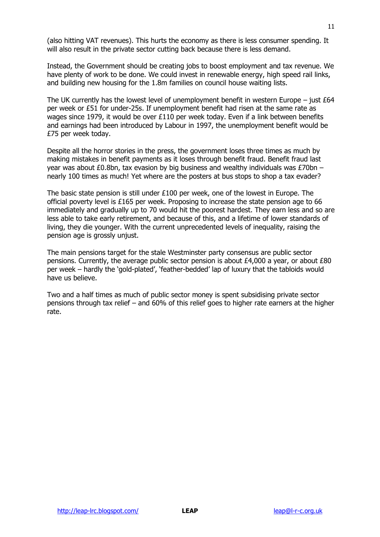(also hitting VAT revenues). This hurts the economy as there is less consumer spending. It will also result in the private sector cutting back because there is less demand.

Instead, the Government should be creating jobs to boost employment and tax revenue. We have plenty of work to be done. We could invest in renewable energy, high speed rail links, and building new housing for the 1.8m families on council house waiting lists.

The UK currently has the lowest level of unemployment benefit in western Europe – just  $£64$ per week or £51 for under-25s. If unemployment benefit had risen at the same rate as wages since 1979, it would be over £110 per week today. Even if a link between benefits and earnings had been introduced by Labour in 1997, the unemployment benefit would be £75 per week today.

Despite all the horror stories in the press, the government loses three times as much by making mistakes in benefit payments as it loses through benefit fraud. Benefit fraud last year was about £0.8bn, tax evasion by big business and wealthy individuals was £70bn – nearly 100 times as much! Yet where are the posters at bus stops to shop a tax evader?

The basic state pension is still under £100 per week, one of the lowest in Europe. The official poverty level is £165 per week. Proposing to increase the state pension age to 66 immediately and gradually up to 70 would hit the poorest hardest. They earn less and so are less able to take early retirement, and because of this, and a lifetime of lower standards of living, they die younger. With the current unprecedented levels of inequality, raising the pension age is grossly unjust.

The main pensions target for the stale Westminster party consensus are public sector pensions. Currently, the average public sector pension is about £4,000 a year, or about £80 per week – hardly the "gold-plated", "feather-bedded" lap of luxury that the tabloids would have us believe.

Two and a half times as much of public sector money is spent subsidising private sector pensions through tax relief – and 60% of this relief goes to higher rate earners at the higher rate.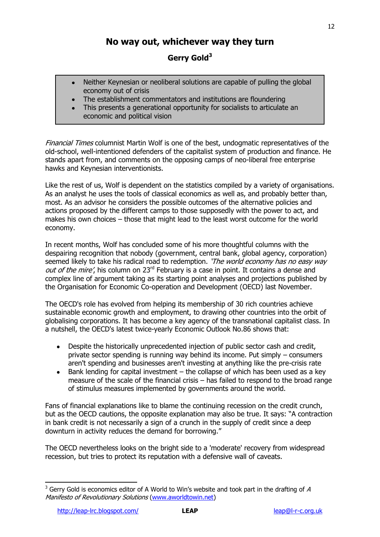# **No way out, whichever way they turn**

# **Gerry Gold<sup>3</sup>**

- Neither Keynesian or neoliberal solutions are capable of pulling the global economy out of crisis
- The establishment commentators and institutions are floundering
- This presents a generational opportunity for socialists to articulate an economic and political vision

Financial Times columnist Martin Wolf is one of the best, undogmatic representatives of the old-school, well-intentioned defenders of the capitalist system of production and finance. He stands apart from, and comments on the opposing camps of neo-liberal free enterprise hawks and Keynesian interventionists.

Like the rest of us, Wolf is dependent on the statistics compiled by a variety of organisations. As an analyst he uses the tools of classical economics as well as, and probably better than, most. As an advisor he considers the possible outcomes of the alternative policies and actions proposed by the different camps to those supposedly with the power to act, and makes his own choices – those that might lead to the least worst outcome for the world economy.

In recent months, Wolf has concluded some of his more thoughtful columns with the despairing recognition that nobody (government, central bank, global agency, corporation) seemed likely to take his radical road to redemption. 'The world economy has no easy way *out of the mire'*, his column on 23<sup>rd</sup> February is a case in point. It contains a dense and complex line of argument taking as its starting point analyses and projections published by the Organisation for Economic Co-operation and Development (OECD) last November.

The OECD's role has evolved from helping its membership of 30 rich countries achieve sustainable economic growth and employment, to drawing other countries into the orbit of globalising corporations. It has become a key agency of the transnational capitalist class. In a nutshell, the OECD's latest twice-yearly Economic Outlook No.86 shows that:

- Despite the historically unprecedented injection of public sector cash and credit, private sector spending is running way behind its income. Put simply – consumers aren't spending and businesses aren't investing at anything like the pre-crisis rate
- Bank lending for capital investment the collapse of which has been used as a key measure of the scale of the financial crisis – has failed to respond to the broad range of stimulus measures implemented by governments around the world.

Fans of financial explanations like to blame the continuing recession on the credit crunch, but as the OECD cautions, the opposite explanation may also be true. It says: "A contraction in bank credit is not necessarily a sign of a crunch in the supply of credit since a deep downturn in activity reduces the demand for borrowing."

The OECD nevertheless looks on the bright side to a 'moderate' recovery from widespread recession, but tries to protect its reputation with a defensive wall of caveats.

 $3$  Gerry Gold is economics editor of A World to Win's website and took part in the drafting of A Manifesto of Revolutionary Solutions [\(www.aworldtowin.net\)](http://www.aworldtowin.net/)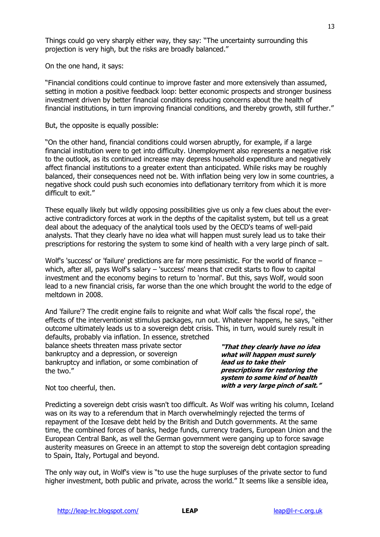Things could go very sharply either way, they say: "The uncertainty surrounding this projection is very high, but the risks are broadly balanced."

On the one hand, it says:

"Financial conditions could continue to improve faster and more extensively than assumed, setting in motion a positive feedback loop: better economic prospects and stronger business investment driven by better financial conditions reducing concerns about the health of financial institutions, in turn improving financial conditions, and thereby growth, still further."

But, the opposite is equally possible:

"On the other hand, financial conditions could worsen abruptly, for example, if a large financial institution were to get into difficulty. Unemployment also represents a negative risk to the outlook, as its continued increase may depress household expenditure and negatively affect financial institutions to a greater extent than anticipated. While risks may be roughly balanced, their consequences need not be. With inflation being very low in some countries, a negative shock could push such economies into deflationary territory from which it is more difficult to exit."

These equally likely but wildly opposing possibilities give us only a few clues about the everactive contradictory forces at work in the depths of the capitalist system, but tell us a great deal about the adequacy of the analytical tools used by the OECD's teams of well-paid analysts. That they clearly have no idea what will happen must surely lead us to take their prescriptions for restoring the system to some kind of health with a very large pinch of salt.

Wolf's 'success' or 'failure' predictions are far more pessimistic. For the world of finance – which, after all, pays Wolf's salary – 'success' means that credit starts to flow to capital investment and the economy begins to return to 'normal'. But this, says Wolf, would soon lead to a new financial crisis, far worse than the one which brought the world to the edge of meltdown in 2008.

And 'failure'? The credit engine fails to reignite and what Wolf calls 'the fiscal rope', the effects of the interventionist stimulus packages, run out. Whatever happens, he says, "either outcome ultimately leads us to a sovereign debt crisis. This, in turn, would surely result in

defaults, probably via inflation. In essence, stretched balance sheets threaten mass private sector bankruptcy and a depression, or sovereign bankruptcy and inflation, or some combination of the two."

**"That they clearly have no idea what will happen must surely lead us to take their prescriptions for restoring the system to some kind of health with a very large pinch of salt."**

Not too cheerful, then.

Predicting a sovereign debt crisis wasn't too difficult. As Wolf was writing his column, Iceland was on its way to a referendum that in March overwhelmingly rejected the terms of repayment of the Icesave debt held by the British and Dutch governments. At the same time, the combined forces of banks, hedge funds, currency traders, European Union and the European Central Bank, as well the German government were ganging up to force savage austerity measures on Greece in an attempt to stop the sovereign debt contagion spreading to Spain, Italy, Portugal and beyond.

The only way out, in Wolf's view is "to use the huge surpluses of the private sector to fund higher investment, both public and private, across the world." It seems like a sensible idea,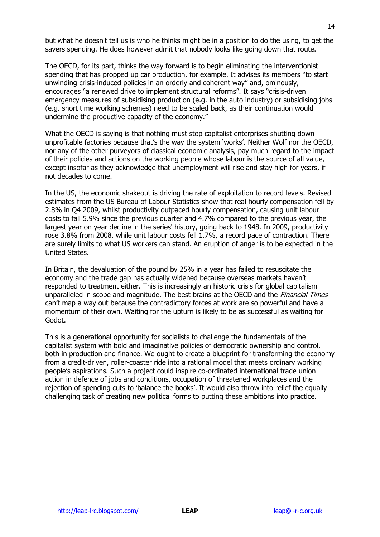but what he doesn't tell us is who he thinks might be in a position to do the using, to get the savers spending. He does however admit that nobody looks like going down that route.

The OECD, for its part, thinks the way forward is to begin eliminating the interventionist spending that has propped up car production, for example. It advises its members "to start unwinding crisis-induced policies in an orderly and coherent way" and, ominously, encourages "a renewed drive to implement structural reforms". It says "crisis-driven emergency measures of subsidising production (e.g. in the auto industry) or subsidising jobs (e.g. short time working schemes) need to be scaled back, as their continuation would undermine the productive capacity of the economy."

What the OECD is saying is that nothing must stop capitalist enterprises shutting down unprofitable factories because that"s the way the system "works". Neither Wolf nor the OECD, nor any of the other purveyors of classical economic analysis, pay much regard to the impact of their policies and actions on the working people whose labour is the source of all value, except insofar as they acknowledge that unemployment will rise and stay high for years, if not decades to come.

In the US, the economic shakeout is driving the rate of exploitation to record levels. Revised estimates from the US Bureau of Labour Statistics show that real hourly compensation fell by 2.8% in Q4 2009, whilst productivity outpaced hourly compensation, causing unit labour costs to fall 5.9% since the previous quarter and 4.7% compared to the previous year, the largest year on year decline in the series' history, going back to 1948. In 2009, productivity rose 3.8% from 2008, while unit labour costs fell 1.7%, a record pace of contraction. There are surely limits to what US workers can stand. An eruption of anger is to be expected in the United States.

In Britain, the devaluation of the pound by 25% in a year has failed to resuscitate the economy and the trade gap has actually widened because overseas markets haven"t responded to treatment either. This is increasingly an historic crisis for global capitalism unparalleled in scope and magnitude. The best brains at the OECD and the *Financial Times* can"t map a way out because the contradictory forces at work are so powerful and have a momentum of their own. Waiting for the upturn is likely to be as successful as waiting for Godot.

This is a generational opportunity for socialists to challenge the fundamentals of the capitalist system with bold and imaginative policies of democratic ownership and control, both in production and finance. We ought to create a blueprint for transforming the economy from a credit-driven, roller-coaster ride into a rational model that meets ordinary working people"s aspirations. Such a project could inspire co-ordinated international trade union action in defence of jobs and conditions, occupation of threatened workplaces and the rejection of spending cuts to 'balance the books'. It would also throw into relief the equally challenging task of creating new political forms to putting these ambitions into practice.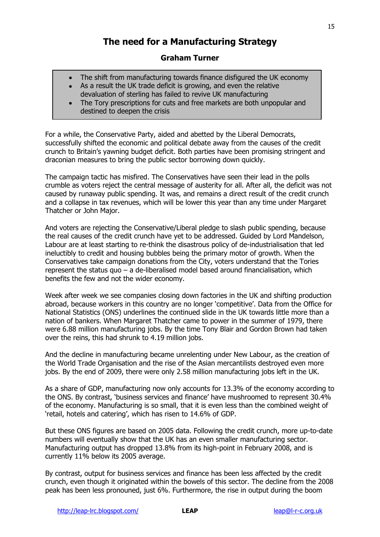# **The need for a Manufacturing Strategy**

# **Graham Turner**

- The shift from manufacturing towards finance disfigured the UK economy  $\bullet$
- As a result the UK trade deficit is growing, and even the relative devaluation of sterling has failed to revive UK manufacturing
- The Tory prescriptions for cuts and free markets are both unpopular and destined to deepen the crisis

For a while, the Conservative Party, aided and abetted by the Liberal Democrats, successfully shifted the economic and political debate away from the causes of the credit crunch to Britain"s yawning budget deficit. Both parties have been promising stringent and draconian measures to bring the public sector borrowing down quickly.

The campaign tactic has misfired. The Conservatives have seen their lead in the polls crumble as voters reject the central message of austerity for all. After all, the deficit was not caused by runaway public spending. It was, and remains a direct result of the credit crunch and a collapse in tax revenues, which will be lower this year than any time under Margaret Thatcher or John Major.

And voters are rejecting the Conservative/Liberal pledge to slash public spending, because the real causes of the credit crunch have yet to be addressed. Guided by Lord Mandelson, Labour are at least starting to re-think the disastrous policy of de-industrialisation that led ineluctibly to credit and housing bubbles being the primary motor of growth. When the Conservatives take campaign donations from the City, voters understand that the Tories represent the status quo – a de-liberalised model based around financialisation, which benefits the few and not the wider economy.

Week after week we see companies closing down factories in the UK and shifting production abroad, because workers in this country are no longer "competitive". Data from the Office for National Statistics (ONS) underlines the continued slide in the UK towards little more than a nation of bankers. When Margaret Thatcher came to power in the summer of 1979, there were 6.88 million manufacturing jobs. By the time Tony Blair and Gordon Brown had taken over the reins, this had shrunk to 4.19 million jobs.

And the decline in manufacturing became unrelenting under New Labour, as the creation of the World Trade Organisation and the rise of the Asian mercantilists destroyed even more jobs. By the end of 2009, there were only 2.58 million manufacturing jobs left in the UK.

As a share of GDP, manufacturing now only accounts for 13.3% of the economy according to the ONS. By contrast, "business services and finance" have mushroomed to represent 30.4% of the economy. Manufacturing is so small, that it is even less than the combined weight of 'retail, hotels and catering', which has risen to 14.6% of GDP.

But these ONS figures are based on 2005 data. Following the credit crunch, more up-to-date numbers will eventually show that the UK has an even smaller manufacturing sector. Manufacturing output has dropped 13.8% from its high-point in February 2008, and is currently 11% below its 2005 average.

By contrast, output for business services and finance has been less affected by the credit crunch, even though it originated within the bowels of this sector. The decline from the 2008 peak has been less pronouned, just 6%. Furthermore, the rise in output during the boom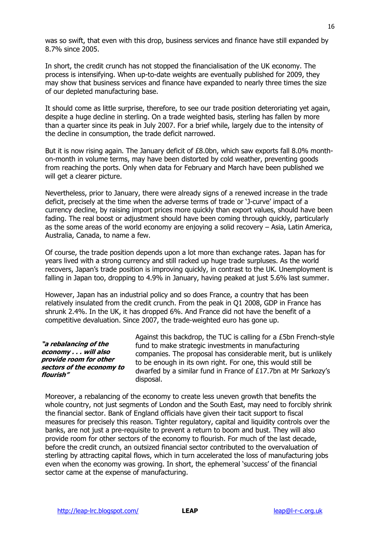was so swift, that even with this drop, business services and finance have still expanded by 8.7% since 2005.

In short, the credit crunch has not stopped the financialisation of the UK economy. The process is intensifying. When up-to-date weights are eventually published for 2009, they may show that business services and finance have expanded to nearly three times the size of our depleted manufacturing base.

It should come as little surprise, therefore, to see our trade position deteroriating yet again, despite a huge decline in sterling. On a trade weighted basis, sterling has fallen by more than a quarter since its peak in July 2007. For a brief while, largely due to the intensity of the decline in consumption, the trade deficit narrowed.

But it is now rising again. The January deficit of £8.0bn, which saw exports fall 8.0% monthon-month in volume terms, may have been distorted by cold weather, preventing goods from reaching the ports. Only when data for February and March have been published we will get a clearer picture.

Nevertheless, prior to January, there were already signs of a renewed increase in the trade deficit, precisely at the time when the adverse terms of trade or "J-curve" impact of a currency decline, by raising import prices more quickly than export values, should have been fading. The real boost or adjustment should have been coming through quickly, particularly as the some areas of the world economy are enjoying a solid recovery – Asia, Latin America, Australia, Canada, to name a few.

Of course, the trade position depends upon a lot more than exchange rates. Japan has for years lived with a strong currency and still racked up huge trade surpluses. As the world recovers, Japan"s trade position is improving quickly, in contrast to the UK. Unemployment is falling in Japan too, dropping to 4.9% in January, having peaked at just 5.6% last summer.

However, Japan has an industrial policy and so does France, a country that has been relatively insulated from the credit crunch. From the peak in Q1 2008, GDP in France has shrunk 2.4%. In the UK, it has dropped 6%. And France did not have the benefit of a competitive devaluation. Since 2007, the trade-weighted euro has gone up.

#### **"a rebalancing of the economy . . . will also provide room for other sectors of the economy to flourish"**

Against this backdrop, the TUC is calling for a £5bn French-style fund to make strategic investments in manufacturing companies. The proposal has considerable merit, but is unlikely to be enough in its own right. For one, this would still be dwarfed by a similar fund in France of £17.7bn at Mr Sarkozy"s disposal.

Moreover, a rebalancing of the economy to create less uneven growth that benefits the whole country, not just segments of London and the South East, may need to forcibly shrink the financial sector. Bank of England officials have given their tacit support to fiscal measures for precisely this reason. Tighter regulatory, capital and liquidity controls over the banks, are not just a pre-requisite to prevent a return to boom and bust. They will also provide room for other sectors of the economy to flourish. For much of the last decade, before the credit crunch, an outsized financial sector contributed to the overvaluation of sterling by attracting capital flows, which in turn accelerated the loss of manufacturing jobs even when the economy was growing. In short, the ephemeral 'success' of the financial sector came at the expense of manufacturing.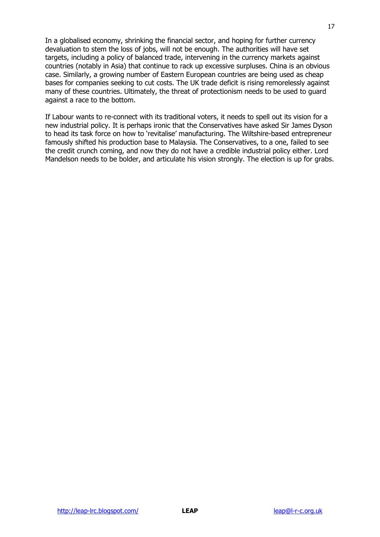In a globalised economy, shrinking the financial sector, and hoping for further currency devaluation to stem the loss of jobs, will not be enough. The authorities will have set targets, including a policy of balanced trade, intervening in the currency markets against countries (notably in Asia) that continue to rack up excessive surpluses. China is an obvious case. Similarly, a growing number of Eastern European countries are being used as cheap bases for companies seeking to cut costs. The UK trade deficit is rising remorelessly against many of these countries. Ultimately, the threat of protectionism needs to be used to guard against a race to the bottom.

If Labour wants to re-connect with its traditional voters, it needs to spell out its vision for a new industrial policy. It is perhaps ironic that the Conservatives have asked Sir James Dyson to head its task force on how to "revitalise" manufacturing. The Wiltshire-based entrepreneur famously shifted his production base to Malaysia. The Conservatives, to a one, failed to see the credit crunch coming, and now they do not have a credible industrial policy either. Lord Mandelson needs to be bolder, and articulate his vision strongly. The election is up for grabs.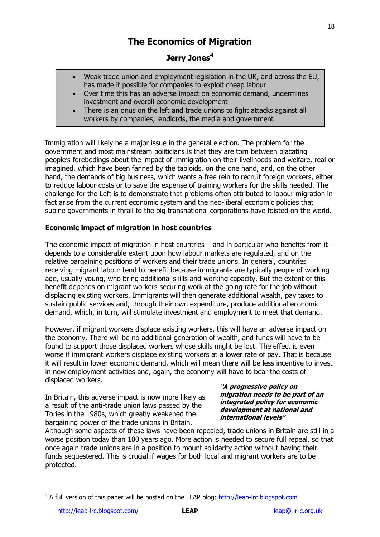# **The Economics of Migration**

# **Jerry Jones<sup>4</sup>**

- Weak trade union and employment legislation in the UK, and across the EU, has made it possible for companies to exploit cheap labour
- Over time this has an adverse impact on economic demand, undermines investment and overall economic development
- There is an onus on the left and trade unions to fight attacks against all workers by companies, landlords, the media and government

Immigration will likely be a major issue in the general election. The problem for the government and most mainstream politicians is that they are torn between placating people"s forebodings about the impact of immigration on their livelihoods and welfare, real or imagined, which have been fanned by the tabloids, on the one hand, and, on the other hand, the demands of big business, which wants a free rein to recruit foreign workers, either to reduce labour costs or to save the expense of training workers for the skills needed. The challenge for the Left is to demonstrate that problems often attributed to labour migration in fact arise from the current economic system and the neo-liberal economic policies that supine governments in thrall to the big transnational corporations have foisted on the world.

### **Economic impact of migration in host countries**

The economic impact of migration in host countries – and in particular who benefits from it – depends to a considerable extent upon how labour markets are regulated, and on the relative bargaining positions of workers and their trade unions. In general, countries receiving migrant labour tend to benefit because immigrants are typically people of working age, usually young, who bring additional skills and working capacity. But the extent of this benefit depends on migrant workers securing work at the going rate for the job without displacing existing workers. Immigrants will then generate additional wealth, pay taxes to sustain public services and, through their own expenditure, produce additional economic demand, which, in turn, will stimulate investment and employment to meet that demand.

However, if migrant workers displace existing workers, this will have an adverse impact on the economy. There will be no additional generation of wealth, and funds will have to be found to support those displaced workers whose skills might be lost. The effect is even worse if immigrant workers displace existing workers at a lower rate of pay. That is because it will result in lower economic demand, which will mean there will be less incentive to invest in new employment activities and, again, the economy will have to bear the costs of displaced workers.

In Britain, this adverse impact is now more likely as a result of the anti-trade union laws passed by the Tories in the 1980s, which greatly weakened the bargaining power of the trade unions in Britain.

#### **"A progressive policy on migration needs to be part of an integrated policy for economic development at national and international levels"**

Although some aspects of these laws have been repealed, trade unions in Britain are still in a worse position today than 100 years ago. More action is needed to secure full repeal, so that once again trade unions are in a position to mount solidarity action without having their funds sequestered. This is crucial if wages for both local and migrant workers are to be protected.

 <sup>4</sup> A full version of this paper will be posted on the LEAP blog: [http://leap-lrc.blogspot.com](http://leap-lrc.blogspot.com/)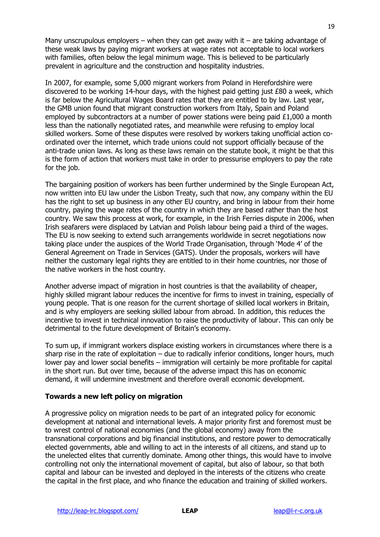Many unscrupulous employers – when they can get away with it – are taking advantage of these weak laws by paying migrant workers at wage rates not acceptable to local workers with families, often below the legal minimum wage. This is believed to be particularly prevalent in agriculture and the construction and hospitality industries.

In 2007, for example, some 5,000 migrant workers from Poland in Herefordshire were discovered to be working 14-hour days, with the highest paid getting just £80 a week, which is far below the Agricultural Wages Board rates that they are entitled to by law. Last year, the GMB union found that migrant construction workers from Italy, Spain and Poland employed by subcontractors at a number of power stations were being paid £1,000 a month less than the nationally negotiated rates, and meanwhile were refusing to employ local skilled workers. Some of these disputes were resolved by workers taking unofficial action coordinated over the internet, which trade unions could not support officially because of the anti-trade union laws. As long as these laws remain on the statute book, it might be that this is the form of action that workers must take in order to pressurise employers to pay the rate for the job.

The bargaining position of workers has been further undermined by the Single European Act, now written into EU law under the Lisbon Treaty, such that now, any company within the EU has the right to set up business in any other EU country, and bring in labour from their home country, paying the wage rates of the country in which they are based rather than the host country. We saw this process at work, for example, in the Irish Ferries dispute in 2006, when Irish seafarers were displaced by Latvian and Polish labour being paid a third of the wages. The EU is now seeking to extend such arrangements worldwide in secret negotiations now taking place under the auspices of the World Trade Organisation, through "Mode 4" of the General Agreement on Trade in Services (GATS). Under the proposals, workers will have neither the customary legal rights they are entitled to in their home countries, nor those of the native workers in the host country.

Another adverse impact of migration in host countries is that the availability of cheaper, highly skilled migrant labour reduces the incentive for firms to invest in training, especially of young people. That is one reason for the current shortage of skilled local workers in Britain, and is why employers are seeking skilled labour from abroad. In addition, this reduces the incentive to invest in technical innovation to raise the productivity of labour. This can only be detrimental to the future development of Britain's economy.

To sum up, if immigrant workers displace existing workers in circumstances where there is a sharp rise in the rate of exploitation – due to radically inferior conditions, longer hours, much lower pay and lower social benefits – immigration will certainly be more profitable for capital in the short run. But over time, because of the adverse impact this has on economic demand, it will undermine investment and therefore overall economic development.

#### **Towards a new left policy on migration**

A progressive policy on migration needs to be part of an integrated policy for economic development at national and international levels. A major priority first and foremost must be to wrest control of national economies (and the global economy) away from the transnational corporations and big financial institutions, and restore power to democratically elected governments, able and willing to act in the interests of all citizens, and stand up to the unelected elites that currently dominate. Among other things, this would have to involve controlling not only the international movement of capital, but also of labour, so that both capital and labour can be invested and deployed in the interests of the citizens who create the capital in the first place, and who finance the education and training of skilled workers.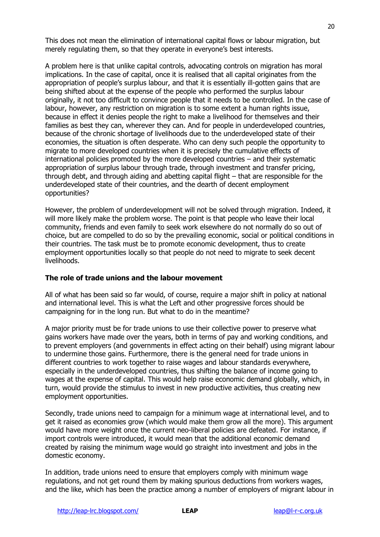This does not mean the elimination of international capital flows or labour migration, but merely regulating them, so that they operate in everyone's best interests.

A problem here is that unlike capital controls, advocating controls on migration has moral implications. In the case of capital, once it is realised that all capital originates from the appropriation of people's surplus labour, and that it is essentially ill-gotten gains that are being shifted about at the expense of the people who performed the surplus labour originally, it not too difficult to convince people that it needs to be controlled. In the case of labour, however, any restriction on migration is to some extent a human rights issue, because in effect it denies people the right to make a livelihood for themselves and their families as best they can, wherever they can. And for people in underdeveloped countries, because of the chronic shortage of livelihoods due to the underdeveloped state of their economies, the situation is often desperate. Who can deny such people the opportunity to migrate to more developed countries when it is precisely the cumulative effects of international policies promoted by the more developed countries – and their systematic appropriation of surplus labour through trade, through investment and transfer pricing, through debt, and through aiding and abetting capital flight – that are responsible for the underdeveloped state of their countries, and the dearth of decent employment opportunities?

However, the problem of underdevelopment will not be solved through migration. Indeed, it will more likely make the problem worse. The point is that people who leave their local community, friends and even family to seek work elsewhere do not normally do so out of choice, but are compelled to do so by the prevailing economic, social or political conditions in their countries. The task must be to promote economic development, thus to create employment opportunities locally so that people do not need to migrate to seek decent livelihoods.

#### **The role of trade unions and the labour movement**

All of what has been said so far would, of course, require a major shift in policy at national and international level. This is what the Left and other progressive forces should be campaigning for in the long run. But what to do in the meantime?

A major priority must be for trade unions to use their collective power to preserve what gains workers have made over the years, both in terms of pay and working conditions, and to prevent employers (and governments in effect acting on their behalf) using migrant labour to undermine those gains. Furthermore, there is the general need for trade unions in different countries to work together to raise wages and labour standards everywhere, especially in the underdeveloped countries, thus shifting the balance of income going to wages at the expense of capital. This would help raise economic demand globally, which, in turn, would provide the stimulus to invest in new productive activities, thus creating new employment opportunities.

Secondly, trade unions need to campaign for a minimum wage at international level, and to get it raised as economies grow (which would make them grow all the more). This argument would have more weight once the current neo-liberal policies are defeated. For instance, if import controls were introduced, it would mean that the additional economic demand created by raising the minimum wage would go straight into investment and jobs in the domestic economy.

In addition, trade unions need to ensure that employers comply with minimum wage regulations, and not get round them by making spurious deductions from workers wages, and the like, which has been the practice among a number of employers of migrant labour in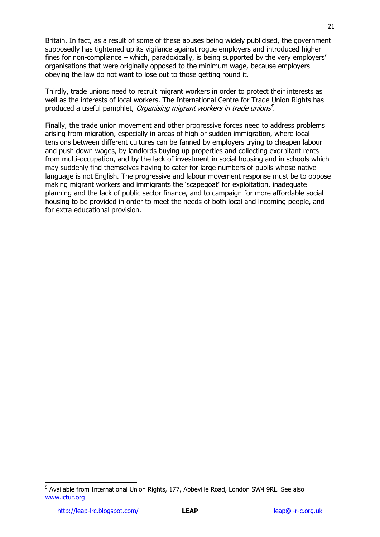Britain. In fact, as a result of some of these abuses being widely publicised, the government supposedly has tightened up its vigilance against rogue employers and introduced higher fines for non-compliance – which, paradoxically, is being supported by the very employers' organisations that were originally opposed to the minimum wage, because employers obeying the law do not want to lose out to those getting round it.

Thirdly, trade unions need to recruit migrant workers in order to protect their interests as well as the interests of local workers. The International Centre for Trade Union Rights has produced a useful pamphlet, *Organising migrant workers in trade unions<sup>5</sup>*.

Finally, the trade union movement and other progressive forces need to address problems arising from migration, especially in areas of high or sudden immigration, where local tensions between different cultures can be fanned by employers trying to cheapen labour and push down wages, by landlords buying up properties and collecting exorbitant rents from multi-occupation, and by the lack of investment in social housing and in schools which may suddenly find themselves having to cater for large numbers of pupils whose native language is not English. The progressive and labour movement response must be to oppose making migrant workers and immigrants the "scapegoat" for exploitation, inadequate planning and the lack of public sector finance, and to campaign for more affordable social housing to be provided in order to meet the needs of both local and incoming people, and for extra educational provision.

<sup>&</sup>lt;sup>5</sup> Available from International Union Rights, 177, Abbeville Road, London SW4 9RL. See also [www.ictur.org](http://www.ictur.org/)